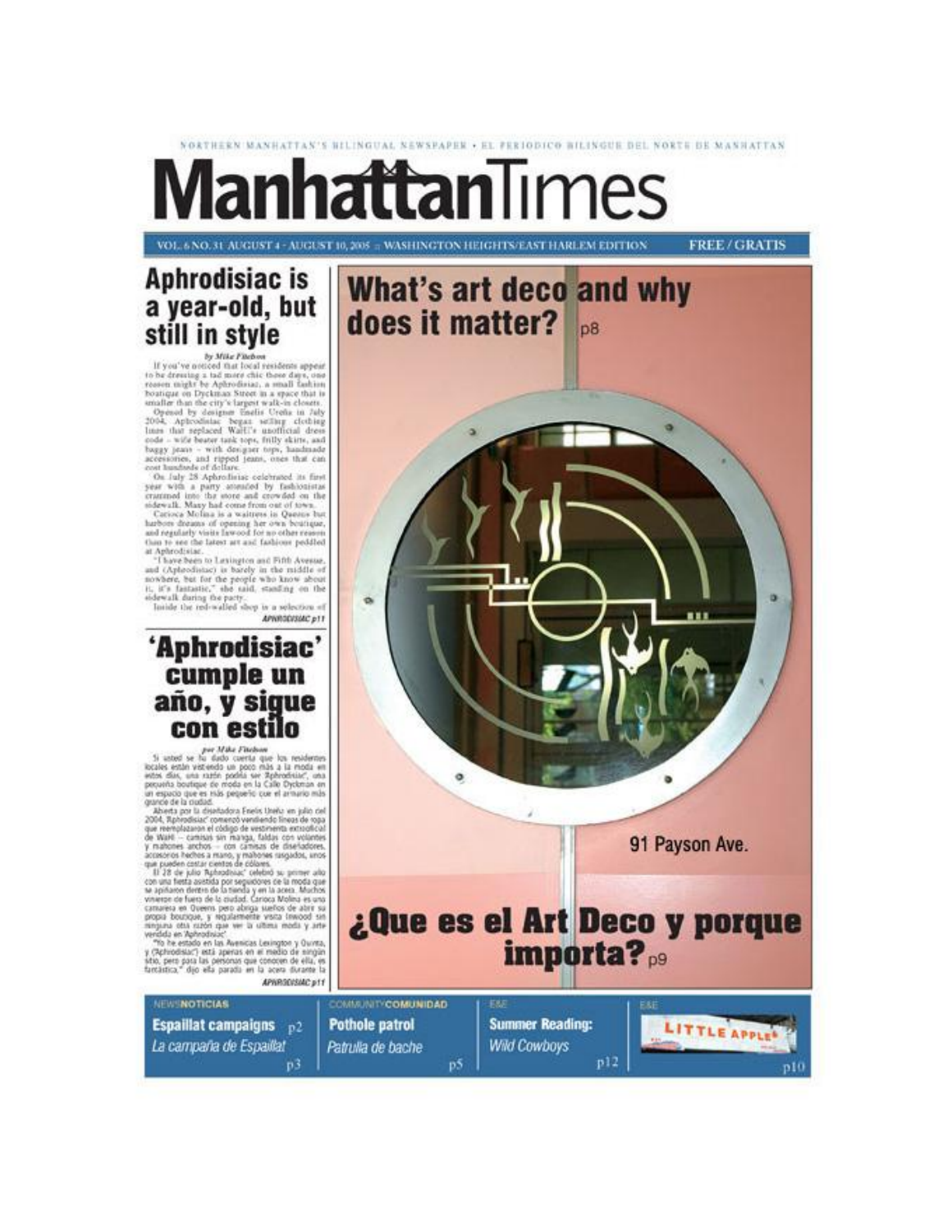# NORTHERN MANHATTAN'S BILINGUAL NEWSPAPER . EL PERIODICO BILINGUE DEL NORTE DE MANHATTAN **Manhattan**Times

VOL. 6 NO. 31 AUGUST 4 - AUGUST 10, 2005 = WASHINGTON HEIGHTS/EAST HARLEM EDITION

**FREE/GRATIS** 



by Mike Fitchen<br>If you've noticed that local residents appear by Mike Fineboot (a) the Bootly converges to be derived that bond residence appear to be deriving a 1sd monet chise these days, one resident might by Aphrodisian, a sumplicability deriving the state of the property of the

APRRODUSIAC p11

### 'Aphrodisiac' cumple un año, y sigue con estilo

 $\label{eq:3} \begin{array}{ll} \textit{per} \; \textit{Mick} \; \textit{Freoban} \\ \textit{Si: } \textit{stind} \; \textit{se} \; \textit{Iu: } \textit{didb: } \textit{centers} \; \textit{ue: } \textit{ha: } \textit{reisdense} \\ \textit{Ricals: } \textit{stids: } \textit{u: } \textit{right: } \textit{p: } \textit{right: } \textit{all: } \textit{rights: } \textit{all: } \textit{rights: } \textit{all: } \textit{rights: } \textit{map: } \textit{up: }$ un espacio que es más pequeño cue el armario más

presente a compare to mean on the case of the state of the state of the method of the method of the state of the state of the state of the state of the state of the state of the state of the state of the method of the met

APHRODISAC p11

**Espaillat campaigns**  $p2$ 

p3

Patrulla de bache

La campaña de Espaillat

**NEW NOTICIAS** 



**Wild Cowboys** 

p5

 $p12$ 

p10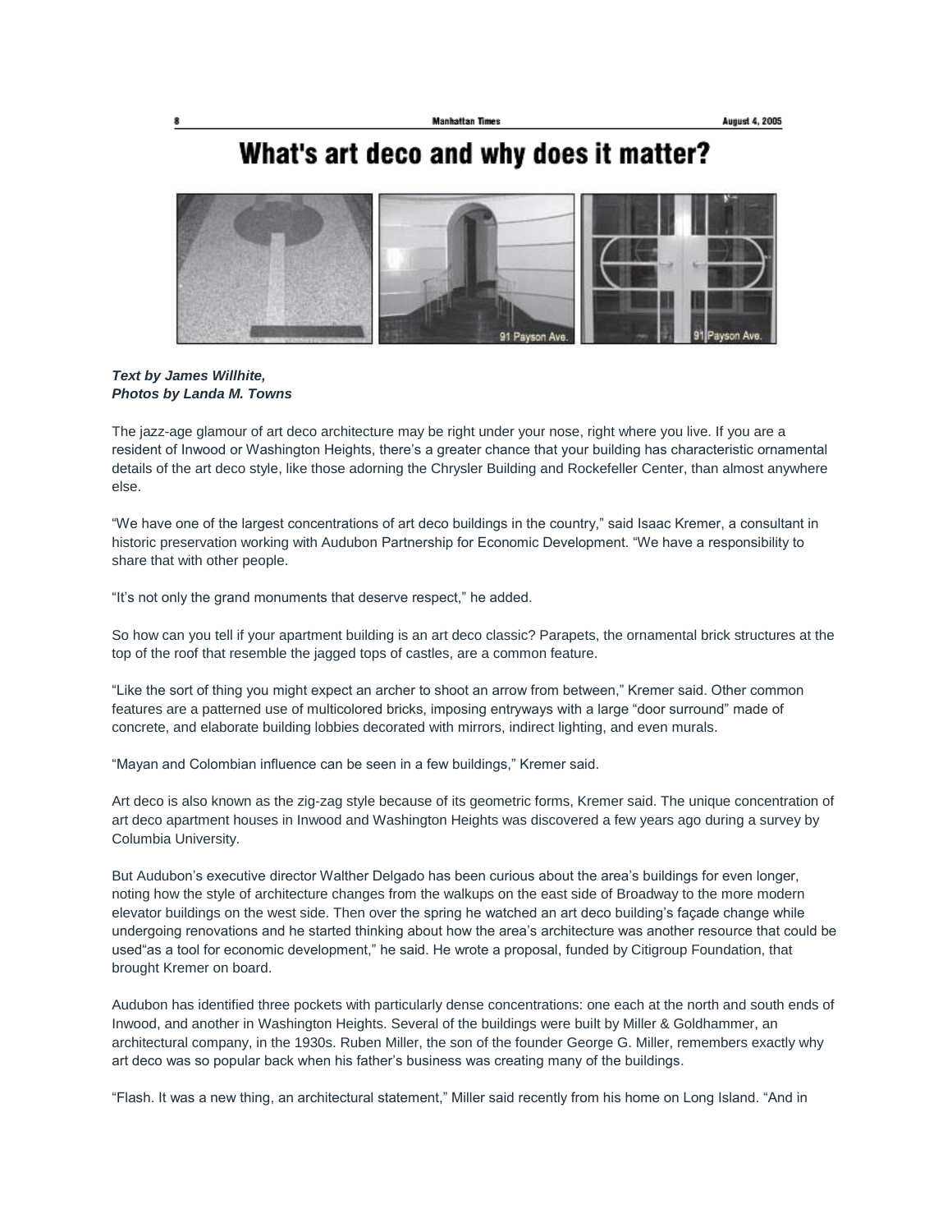## What's art deco and why does it matter?



### *Text by James Willhite, Photos by Landa M. Towns*

The jazz-age glamour of art deco architecture may be right under your nose, right where you live. If you are a resident of Inwood or Washington Heights, there's a greater chance that your building has characteristic ornamental details of the art deco style, like those adorning the Chrysler Building and Rockefeller Center, than almost anywhere else.

"We have one of the largest concentrations of art deco buildings in the country," said Isaac Kremer, a consultant in historic preservation working with Audubon Partnership for Economic Development. "We have a responsibility to share that with other people.

"It's not only the grand monuments that deserve respect," he added.

So how can you tell if your apartment building is an art deco classic? Parapets, the ornamental brick structures at the top of the roof that resemble the jagged tops of castles, are a common feature.

"Like the sort of thing you might expect an archer to shoot an arrow from between," Kremer said. Other common features are a patterned use of multicolored bricks, imposing entryways with a large "door surround" made of concrete, and elaborate building lobbies decorated with mirrors, indirect lighting, and even murals.

"Mayan and Colombian influence can be seen in a few buildings," Kremer said.

Art deco is also known as the zig-zag style because of its geometric forms, Kremer said. The unique concentration of art deco apartment houses in Inwood and Washington Heights was discovered a few years ago during a survey by Columbia University.

But Audubon's executive director Walther Delgado has been curious about the area's buildings for even longer, noting how the style of architecture changes from the walkups on the east side of Broadway to the more modern elevator buildings on the west side. Then over the spring he watched an art deco building's façade change while undergoing renovations and he started thinking about how the area's architecture was another resource that could be used"as a tool for economic development," he said. He wrote a proposal, funded by Citigroup Foundation, that brought Kremer on board.

Audubon has identified three pockets with particularly dense concentrations: one each at the north and south ends of Inwood, and another in Washington Heights. Several of the buildings were built by Miller & Goldhammer, an architectural company, in the 1930s. Ruben Miller, the son of the founder George G. Miller, remembers exactly why art deco was so popular back when his father's business was creating many of the buildings.

"Flash. It was a new thing, an architectural statement," Miller said recently from his home on Long Island. "And in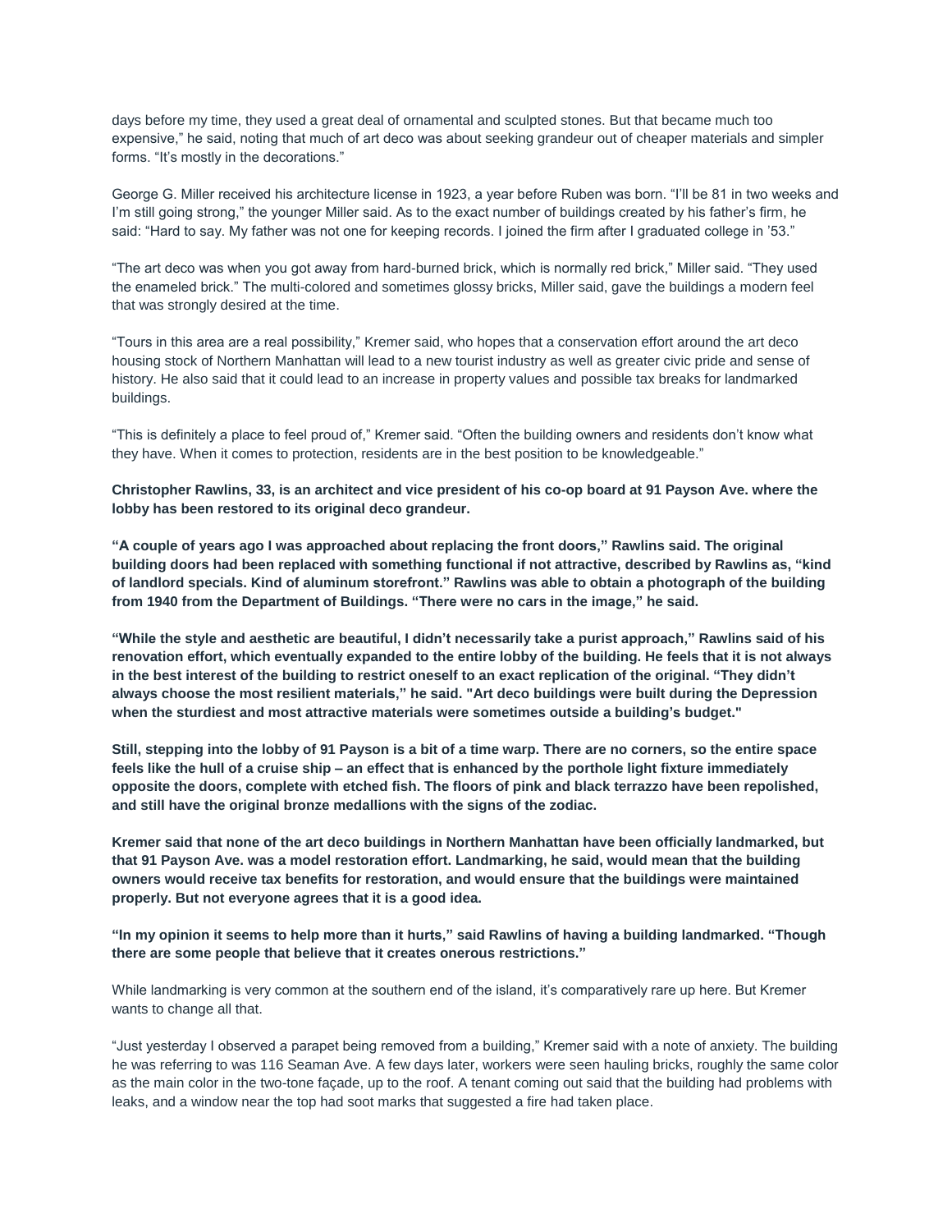days before my time, they used a great deal of ornamental and sculpted stones. But that became much too expensive," he said, noting that much of art deco was about seeking grandeur out of cheaper materials and simpler forms. "It's mostly in the decorations."

George G. Miller received his architecture license in 1923, a year before Ruben was born. "I'll be 81 in two weeks and I'm still going strong," the younger Miller said. As to the exact number of buildings created by his father's firm, he said: "Hard to say. My father was not one for keeping records. I joined the firm after I graduated college in '53."

"The art deco was when you got away from hard-burned brick, which is normally red brick," Miller said. "They used the enameled brick." The multi-colored and sometimes glossy bricks, Miller said, gave the buildings a modern feel that was strongly desired at the time.

"Tours in this area are a real possibility," Kremer said, who hopes that a conservation effort around the art deco housing stock of Northern Manhattan will lead to a new tourist industry as well as greater civic pride and sense of history. He also said that it could lead to an increase in property values and possible tax breaks for landmarked buildings.

"This is definitely a place to feel proud of," Kremer said. "Often the building owners and residents don't know what they have. When it comes to protection, residents are in the best position to be knowledgeable."

Christopher Rawlins, 33, is an architect and vice president of his co-op board at 91 Payson Ave. where the **lobby has been restored to its original deco grandeur.**

**"A couple of years ago I was approached about replacing the front doors," Rawlins said. The original building doors had been replaced with something functional if not attractive, described by Rawlins as, "kind** of landlord specials. Kind of aluminum storefront." Rawlins was able to obtain a photograph of the building **from 1940 from the Department of Buildings. "There were no cars in the image," he said.**

"While the style and aesthetic are beautiful, I didn't necessarily take a purist approach," Rawlins said of his renovation effort, which eventually expanded to the entire lobby of the building. He feels that it is not always in the best interest of the building to restrict oneself to an exact replication of the original. "They didn't **always choose the most resilient materials," he said. "Art deco buildings were built during the Depression when the sturdiest and most attractive materials were sometimes outside a building's budget."**

Still, stepping into the lobby of 91 Payson is a bit of a time warp. There are no corners, so the entire space feels like the hull of a cruise ship - an effect that is enhanced by the porthole light fixture immediately opposite the doors, complete with etched fish. The floors of pink and black terrazzo have been repolished, **and still have the original bronze medallions with the signs of the zodiac.**

Kremer said that none of the art deco buildings in Northern Manhattan have been officially landmarked, but **that 91 Payson Ave. was a model restoration effort. Landmarking, he said, would mean that the building owners would receive tax benefits for restoration, and would ensure that the buildings were maintained properly. But not everyone agrees that it is a good idea.**

"In my opinion it seems to help more than it hurts," said Rawlins of having a building landmarked. "Though **there are some people that believe that it creates onerous restrictions."**

While landmarking is very common at the southern end of the island, it's comparatively rare up here. But Kremer wants to change all that.

"Just yesterday I observed a parapet being removed from a building," Kremer said with a note of anxiety. The building he was referring to was 116 Seaman Ave. A few days later, workers were seen hauling bricks, roughly the same color as the main color in the two-tone façade, up to the roof. A tenant coming out said that the building had problems with leaks, and a window near the top had soot marks that suggested a fire had taken place.